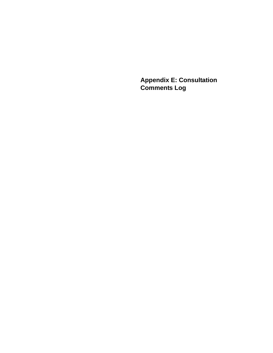**Appendix E: Consultation Comments Log**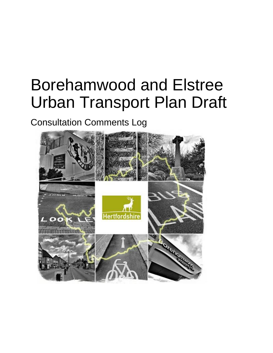# Borehamwood and Elstree Urban Transport Plan Draft

## Consultation Comments Log

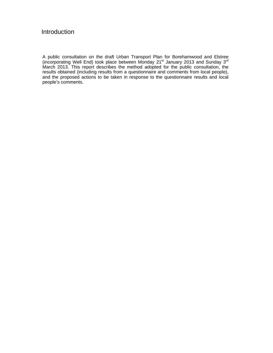## Introduction

A public consultation on the draft Urban Transport Plan for Borehamwood and Elstree (incorporating Well End) took place between Monday 21<sup>st</sup> January 2013 and Sunday 3<sup>rd</sup> March 2013. This report describes the method adopted for the public consultation, the results obtained (including results from a questionnaire and comments from local people), and the proposed actions to be taken in response to the questionnaire results and local people's comments.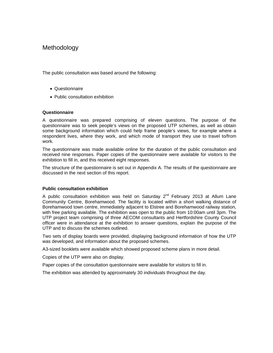## **Methodology**

The public consultation was based around the following:

- Questionnaire
- Public consultation exhibition

#### **Questionnaire**

A questionnaire was prepared comprising of eleven questions. The purpose of the questionnaire was to seek people's views on the proposed UTP schemes, as well as obtain some background information which could help frame people's views, for example where a respondent lives, where they work, and which mode of transport they use to travel to/from work.

The questionnaire was made available online for the duration of the public consultation and received nine responses. Paper copies of the questionnaire were available for visitors to the exhibition to fill in, and this received eight responses.

The structure of the questionnaire is set out in Appendix A. The results of the questionnaire are discussed in the next section of this report.

#### **Public consultation exhibition**

A public consultation exhibition was held on Saturday  $2^{nd}$  February 2013 at Allum Lane Community Centre, Borehamwood. The facility is located within a short walking distance of Borehamwood town centre, immediately adjacent to Elstree and Borehamwood railway station, with free parking available. The exhibition was open to the public from 10:00am until 3pm. The UTP project team comprising of three AECOM consultants and Hertfordshire County Council officer were in attendance at the exhibition to answer questions, explain the purpose of the UTP and to discuss the schemes outlined.

Two sets of display boards were provided, displaying background information of how the UTP was developed, and information about the proposed schemes.

A3-sized booklets were available which showed proposed scheme plans in more detail.

Copies of the UTP were also on display.

Paper copies of the consultation questionnaire were available for visitors to fill in.

The exhibition was attended by approximately 30 individuals throughout the day.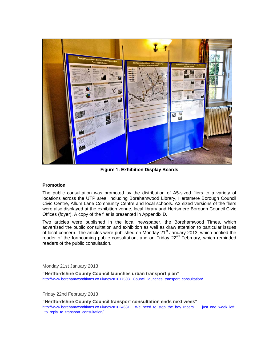

**Figure 1: Exhibition Display Boards** 

## **Promotion**

The public consultation was promoted by the distribution of A5-sized fliers to a variety of locations across the UTP area, including Borehamwood Library, Hertsmere Borough Council Civic Centre, Allum Lane Community Centre and local schools. A3 sized versions of the fliers were also displayed at the exhibition venue, local library and Hertsmere Borough Council Civic Offices (foyer). A copy of the flier is presented in Appendix D.

Two articles were published in the local newspaper, the Borehamwood Times, which advertised the public consultation and exhibition as well as draw attention to particular issues of local concern. The articles were published on Monday 21<sup>st</sup> January 2013, which notified the reader of the forthcoming public consultation, and on Friday 22<sup>nd</sup> February, which reminded readers of the public consultation.

Monday 21st January 2013

**"Hertfordshire County Council launches urban transport plan"**  http://www.borehamwoodtimes.co.uk/news/10175081.Council\_launches\_transport\_consultation/

Friday 22nd February 2013

**"Hertfordshire County Council transport consultation ends next week"**  http://www.borehamwoodtimes.co.uk/news/10246811. We need to stop the boy racers \_\_\_ just\_one\_week\_left to\_reply\_to\_transport\_consultation/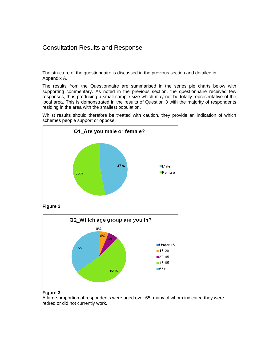## Consultation Results and Response

The structure of the questionnaire is discussed in the previous section and detailed in Appendix A.

The results from the Questionnaire are summarised in the series pie charts below with supporting commentary. As noted in the previous section, the questionnaire received few responses, thus producing a small sample size which may not be totally representative of the local area. This is demonstrated in the results of Question 3 with the majority of respondents residing in the area with the smallest population.

Whilst results should therefore be treated with caution, they provide an indication of which schemes people support or oppose.



**Figure 2** 



## **Figure 3**

A large proportion of respondents were aged over 65, many of whom indicated they were retired or did not currently work.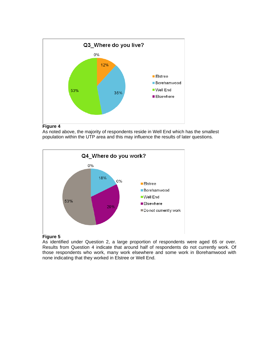

As noted above, the majority of respondents reside in Well End which has the smallest population within the UTP area and this may influence the results of later questions.



## **Figure 5**

As identified under Question 2, a large proportion of respondents were aged 65 or over. Results from Question 4 indicate that around half of respondents do not currently work. Of those respondents who work, many work elsewhere and some work in Borehamwood with none indicating that they worked in Elstree or Well End.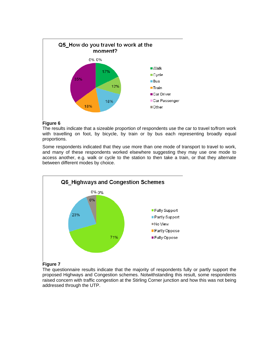

The results indicate that a sizeable proportion of respondents use the car to travel to/from work with travelling on foot, by bicycle, by train or by bus each representing broadly equal proportions.

Some respondents indicated that they use more than one mode of transport to travel to work, and many of these respondents worked elsewhere suggesting they may use one mode to access another, e.g. walk or cycle to the station to then take a train, or that they alternate between different modes by choice.



## **Figure 7**

The questionnaire results indicate that the majority of respondents fully or partly support the proposed Highways and Congestion schemes. Notwithstanding this result, some respondents raised concern with traffic congestion at the Stirling Corner junction and how this was not being addressed through the UTP.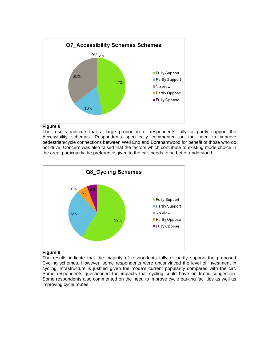

The results indicate that a large proportion of respondents fully or partly support the Accessibility schemes. Respondents specifically commented on the need to improve pedestrian/cycle connections between Well End and Borehamwood for benefit of those who do not drive. Concern was also raised that the factors which contribute to existing mode choice in the area, particualrly the preference given to the car, needs to be better understood.



## **Figure 9**

The results indicate that the majority of respondents fully or partly support the proposed Cycling schemes. However, some respondents were unconvinced the level of investment in cycling infrastructure is justfied given the mode's current popularity compared with the car. Some respondents questionned the impacts that cycling could have on traffic congestion. Some respondents also commented on the need to improve cycle parking facilities as well as improving cycle routes.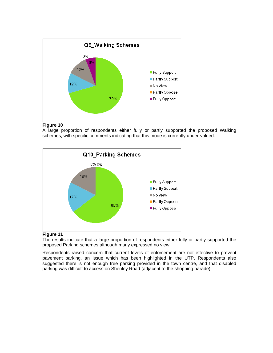

A large proportion of respondents either fully or partly supported the proposed Walking schemes, with specific comments indicating that this mode is currently under-valued.



## **Figure 11**

The results indicate that a large proportion of respondents either fully or partly supported the proposed Parking schemes although many expressed no view.

Respondents raised concern that current levels of enforcement are not effective to prevent pavement parking, an issue which has been highlighted in the UTP. Respondents also suggested there is not enough free parking provided in the town centre, and that disabled parking was difficult to access on Shenley Road (adjacent to the shopping parade).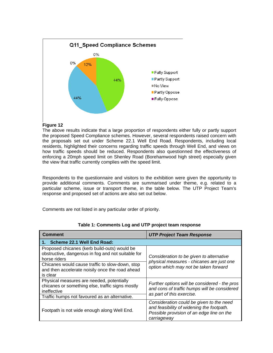

The above results indicate that a large proportion of respondents either fully or partly support the proposed Speed Compliance schemes. However, several respondents raised concern with the proposals set out under Scheme 22.1 Well End Road. Respondents, including local residents, highlighted their concerns regarding traffic speeds through Well End, and views on how traffic speeds should be reduced. Respondents also questionned the effectiveness of enforcing a 20mph speed limit on Shenley Road (Borehamwood high street) especially given the view that traffic currently complies with the speed limit.

Respondents to the questionnaire and visitors to the exhibition were given the opportunity to provide additional comments. Comments are summarised under theme, e.g. related to a particular scheme, issue or transport theme, in the table below. The UTP Project Team's response and proposed set of actions are also set out below.

Comments are not listed in any particular order of priority.

| <b>Comment</b>                                                                                                     | <b>UTP Project Team Response</b>                                                                                                                  |  |  |
|--------------------------------------------------------------------------------------------------------------------|---------------------------------------------------------------------------------------------------------------------------------------------------|--|--|
| 1. Scheme 22.1 Well End Road:                                                                                      |                                                                                                                                                   |  |  |
| Proposed chicanes (kerb build-outs) would be<br>obstructive, dangerous in fog and not suitable for<br>horse riders | Consideration to be given to alternative                                                                                                          |  |  |
| Chicanes would cause traffic to slow-down, stop<br>and then accelerate noisily once the road ahead<br>is clear     | physical measures - chicanes are just one<br>option which may not be taken forward                                                                |  |  |
| Physical measures are needed, potentially<br>chicanes or something else, traffic signs mostly<br>ineffective       | Further options will be considered - the pros<br>and cons of traffic humps will be considered<br>as part of this exercise.                        |  |  |
| Traffic humps not favoured as an alternative.                                                                      |                                                                                                                                                   |  |  |
| Footpath is not wide enough along Well End.                                                                        | Consideration could be given to the need<br>and feasibility of widening the footpath.<br>Possible provision of an edge line on the<br>carriageway |  |  |

**Table 1: Comments Log and UTP project team response**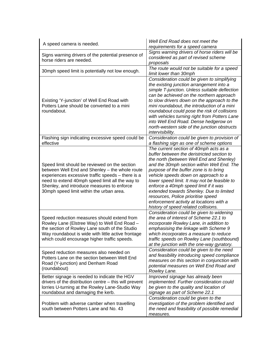| A speed camera is needed.                                                                                                                                                                                                                                                                         | Well End Road does not meet the<br>requirements for a speed camera                                                                                                                                                                                                                                                                                                                                                                                                                                                              |  |
|---------------------------------------------------------------------------------------------------------------------------------------------------------------------------------------------------------------------------------------------------------------------------------------------------|---------------------------------------------------------------------------------------------------------------------------------------------------------------------------------------------------------------------------------------------------------------------------------------------------------------------------------------------------------------------------------------------------------------------------------------------------------------------------------------------------------------------------------|--|
| Signs warning drivers of the potential presence of<br>horse riders are needed.                                                                                                                                                                                                                    | Signs warning drivers of horse riders will be<br>considered as part of revised scheme<br>proposals                                                                                                                                                                                                                                                                                                                                                                                                                              |  |
| 30mph speed limit is potentially not low enough.                                                                                                                                                                                                                                                  | The route would not be suitable for a speed<br>limit lower than 30mph                                                                                                                                                                                                                                                                                                                                                                                                                                                           |  |
| Existing 'Y-junction' of Well End Road with<br>Potters Lane should be converted to a mini<br>roundabout.                                                                                                                                                                                          | Consideration could be given to simplifying<br>the existing junction arrangement into a<br>simple T-junction. Unless suitable deflection<br>can be achieved on the northern approach<br>to slow drivers down on the approach to the<br>mini roundabout, the introduction of a mini<br>roundabout could pose the risk of collisions<br>with vehicles turning right from Potters Lane<br>into Well End Road. Dense hedgerow on<br>north-western side of the junction obstructs<br>intervisibility.                                |  |
| Flashing sign indicating excessive speed could be<br>effective                                                                                                                                                                                                                                    | Consideration could be given to provision of<br>a flashing sign as one of scheme options                                                                                                                                                                                                                                                                                                                                                                                                                                        |  |
| Speed limit should be reviewed on the section<br>between Well End and Shenley - the whole route<br>experiences excessive traffic speeds - there is a<br>need to extend 40mph speed limit all the way to<br>Shenley, and introduce measures to enforce<br>30mph speed limit within the urban area. | The current section of 40mph acts as a<br>buffer between the deristricted section to<br>the north (between Well End and Shenley)<br>and the 30mph section within Well End. The<br>purpose of the buffer zone is to bring<br>vehicle speeds down on approach to a<br>lower speed limit. It may not be feasible to<br>enforce a 40mph speed limit if it was<br>extended towards Shenley. Due to limited<br>resources, Police prioritise speed<br>enforcement activity at locations with a<br>history of speed related collisions. |  |
| Speed reduction measures should extend from<br>Rowley Lane (Elstree Way) to Well End Road -<br>the section of Rowley Lane south of the Studio<br>Way roundabout is wide with little active frontage<br>which could encourage higher traffic speeds.                                               | Consideration could be given to widening<br>the area of interest of Scheme 22.1 to<br>incorporate Rowley Lane, in addition to<br>emphasising the linkage with Scheme 9<br>which incorporates a measure to reduce<br>traffic speeds on Rowley Lane (southbound)<br>at the junction with the one-way gyratory.                                                                                                                                                                                                                    |  |
| Speed reduction measures also needed on<br>Potters Lane on the section between Well End<br>Road (Y-junction) and Denham Road<br>(roundabout)                                                                                                                                                      | Consideration could be given to the need<br>and feasibility introducing speed compliance<br>measures on this section in conjunction with<br>potential measures on Well End Road and<br>Rowley Lane.                                                                                                                                                                                                                                                                                                                             |  |
| Better signage is needed to indicate the HGV<br>drivers of the distribution centre – this will prevent<br>lorries U-turning at the Rowley Lane-Studio Way<br>roundabout and damaging the kerb.                                                                                                    | Improved signage has already been<br>implemented. Further consideration could<br>be given to the quality and location of<br>signage as part of Scheme 22.1                                                                                                                                                                                                                                                                                                                                                                      |  |
| Problem with adverse camber when travelling<br>south between Potters Lane and No. 43                                                                                                                                                                                                              | Consideration could be given to the<br>investigation of the problem identified and<br>the need and feasibility of possible remedial<br>measures.                                                                                                                                                                                                                                                                                                                                                                                |  |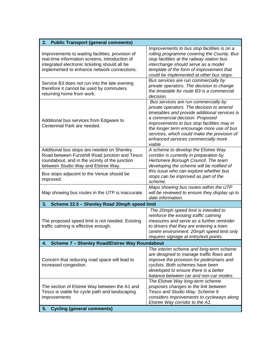| 2.<br><b>Public Transport (general comments)</b>                                                                                                                                                   |                                                                                                                                                                                                                                                                                                                                                                  |  |  |
|----------------------------------------------------------------------------------------------------------------------------------------------------------------------------------------------------|------------------------------------------------------------------------------------------------------------------------------------------------------------------------------------------------------------------------------------------------------------------------------------------------------------------------------------------------------------------|--|--|
| Improvements to waiting facilities, provision of<br>real-time information screens, introduction of<br>integrated electronic ticketing should all be<br>implemented to enhance network connections. | Improvements to bus stop facilities is on a<br>rolling programme covering the County. Bus<br>stop facilities at the railway station bus<br>interchange should serve as a model<br>template of the form of improvement that<br>could be implemented at other bus stops.                                                                                           |  |  |
| Service B3 does not run into the late evening<br>therefore it cannot be used by commuters<br>returning home from work.                                                                             | Bus services are run commercially by<br>private operators. The decision to change<br>the timetable for route B3 is a commercial<br>decision.                                                                                                                                                                                                                     |  |  |
| Additional bus services from Edgware to<br>Centennial Park are needed.                                                                                                                             | Bus services are run commercially by<br>private operators. The decision to amend<br>timetables and provide additional services is<br>a commercial decision. Proposed<br>improvements to bus stop facilities may in<br>the longer term encourage more use of bus<br>services, which could make the provision of<br>enhanced services commercially more<br>viable. |  |  |
| Additional bus stops are needed on Shenley<br>Road between Furzehill Road junction and Tesco<br>roundabout, and in the vicinity of the junction<br>between Studio Way and Elstree Way.             | A scheme to develop the Elstree Way<br>corridor is currently in preparation by<br>Hertsmere Borough Council. The team<br>developing the scheme will be notified of                                                                                                                                                                                               |  |  |
| Bus stops adjacent to the Venue should be<br>improved.                                                                                                                                             | this issue who can explore whether bus<br>stops can be improved as part of the<br>scheme.                                                                                                                                                                                                                                                                        |  |  |
| Map showing bus routes in the UTP is inaccurate.                                                                                                                                                   | Maps showing bus routes within the UTP<br>will be reviewed to ensure they display up to<br>date information.                                                                                                                                                                                                                                                     |  |  |
| 3.<br>Scheme 22.5 - Shenley Road 20mph speed limit                                                                                                                                                 |                                                                                                                                                                                                                                                                                                                                                                  |  |  |
| The proposed speed limit is not needed. Existing<br>traffic calming is effective enough.                                                                                                           | The 20mph speed limit is intended to<br>reinforce the existing traffic calming<br>measures and serve as a further reminder<br>to drivers that they are entering a town<br>centre environment. 20mph speed limit only<br>requires signage at entry/exit points.                                                                                                   |  |  |
| Scheme 7 - Shenley Road/Elstree Way Roundabout<br>4.                                                                                                                                               |                                                                                                                                                                                                                                                                                                                                                                  |  |  |
| Concern that reducing road space will lead to<br>increased congestion.                                                                                                                             | The interim scheme and long-term scheme<br>are designed to manage traffic flows and<br>improve the provision for pedestrians and<br>cyclists. Both schemes have been<br>developed to ensure there is a better<br>balance between car and non-car modes.                                                                                                          |  |  |
| The section of Elstree Way between the A1 and<br>Tesco is viable for cycle path and landscaping<br>improvements                                                                                    | The Elstree Way long-term scheme<br>proposes changes to the link between<br>Tesco and Studio Way. Scheme 9<br>considers improvements to cycleways along<br>Elstree Way corridor to the A1.                                                                                                                                                                       |  |  |
| <b>Cycling (general comments)</b><br>5.                                                                                                                                                            |                                                                                                                                                                                                                                                                                                                                                                  |  |  |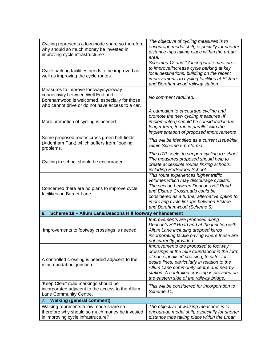| Cycling represents a low mode share so therefore<br>why should so much money be invested in<br>improving cycle infrastructure?                                                 | The objective of cycling measures is to<br>encourage modal shift, especially for shorter<br>distance trips taking place within the urban<br>area.                                                                                                                                                                       |  |  |
|--------------------------------------------------------------------------------------------------------------------------------------------------------------------------------|-------------------------------------------------------------------------------------------------------------------------------------------------------------------------------------------------------------------------------------------------------------------------------------------------------------------------|--|--|
| Cycle parking facilities needs to be improved as<br>well as improving the cycle routes.                                                                                        | Schemes 12 and 17 incorporate measures<br>to improve/increase cycle parking at key<br>local destinations, building on the recent<br>improvements to cycling facilities at Elstree<br>and Borehamwood railway station.                                                                                                   |  |  |
| Measures to improve footway/cycleway<br>connectivity between Well End and<br>Borehamwood is welcomed, especially for those<br>who cannot drive or do not have access to a car. | No comment required.                                                                                                                                                                                                                                                                                                    |  |  |
| More promotion of cycling is needed.                                                                                                                                           | A campaign to encourage cycling and<br>promote the new cycling measures (if<br>implemented) should be considered in the<br>longer term, to run in parallel with the<br>implementation of proposed improvements                                                                                                          |  |  |
| Some proposed routes cross green belt fields<br>(Aldenham Park) which suffers from flooding<br>problems.                                                                       | This will be identified as a current issue/risk<br>within Scheme 5 proforma.                                                                                                                                                                                                                                            |  |  |
| Cycling to school should be encouraged.                                                                                                                                        | The UTP seeks to support cycling to school.<br>The measures proposed should help to<br>create accessible routes linking schools,<br>including Hertswood School.                                                                                                                                                         |  |  |
| Concerned there are no plans to improve cycle<br>facilities on Barnet Lane                                                                                                     | This route experiences higher traffic<br>volumes which may discourage cyclists.<br>The section between Deacons Hill Road<br>and Elstree Crossroads could be<br>considered as a further alternative option for<br>improving cycle linkage between Elstree<br>and Borehamwood (Scheme 5)                                  |  |  |
| Scheme 18 - Allum Lane/Deacons Hill footway enhancement<br>6.                                                                                                                  |                                                                                                                                                                                                                                                                                                                         |  |  |
| Improvements to footway crossings is needed.                                                                                                                                   | Improvements are proposed along<br>Deacon's Hill Road and at the junction with<br>Allum Lane including dropped kerbs<br>incorporating tactile paving where these are<br>not currently provided.                                                                                                                         |  |  |
| A controlled crossing is needed adjacent to the<br>mini roundabout junction.                                                                                                   | Improvements are proposed to footway<br>crossings at the mini roundabout in the form<br>of non-signalised crossing, to cater for<br>desire lines, particularly in relation to the<br>Allum Lane community centre and nearby<br>station. A controlled crossing is provided on<br>the eastern side of the railway bridge. |  |  |
| 'Keep Clear' road markings should be<br>incorporated adjacent to the access to the Allum<br>Lane Community Centre.                                                             | This will be considered for incorporation to<br>Scheme 11.                                                                                                                                                                                                                                                              |  |  |
| <b>Walking (general comment)</b><br>7.                                                                                                                                         |                                                                                                                                                                                                                                                                                                                         |  |  |
| Walking represents a low mode share so<br>therefore why should so much money be invested<br>in improving cycle infrastructure?                                                 | The objective of walking measures is to<br>encourage modal shift, especially for shorter<br>distance trips taking place within the urban                                                                                                                                                                                |  |  |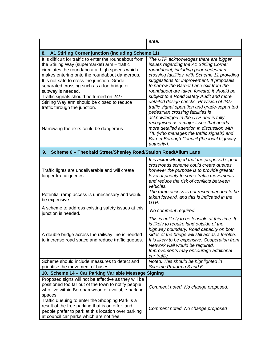|                                                                                                                                                                                                                                                                                                                                                                                                                                                            | area.                                                                                                                                                                                                                                                                                                                                                                                                                                                                                                                                 |  |  |  |
|------------------------------------------------------------------------------------------------------------------------------------------------------------------------------------------------------------------------------------------------------------------------------------------------------------------------------------------------------------------------------------------------------------------------------------------------------------|---------------------------------------------------------------------------------------------------------------------------------------------------------------------------------------------------------------------------------------------------------------------------------------------------------------------------------------------------------------------------------------------------------------------------------------------------------------------------------------------------------------------------------------|--|--|--|
| A1 Stirling Corner junction (including Scheme 11)<br>8.                                                                                                                                                                                                                                                                                                                                                                                                    |                                                                                                                                                                                                                                                                                                                                                                                                                                                                                                                                       |  |  |  |
| It is difficult for traffic to enter the roundabout from<br>the Stirling Way (supermarket) arm - traffic<br>circulates the roundabout at high speeds which<br>makes entering onto the roundabout dangerous.<br>It is not safe to cross the junction. Grade<br>separated crossing such as a footbridge or<br>subway is needed.<br>Traffic signals should be turned on 24/7.<br>Stirling Way arm should be closed to reduce<br>traffic through the junction. | The UTP acknowledges there are bigger<br>issues regarding the A1 Stirling Corner<br>roundabout, including poor pedestrian<br>crossing facilities, with Scheme 11 providing<br>suggestions for improvement. If proposals<br>to narrow the Barnet Lane exit from the<br>roundabout are taken forward, it should be<br>subject to a Road Safety Audit and more<br>detailed design checks. Provision of 24/7<br>traffic signal operation and grade-separated<br>pedestrian crossing facilities is<br>acknowledged in the UTP and is fully |  |  |  |
| Narrowing the exits could be dangerous.                                                                                                                                                                                                                                                                                                                                                                                                                    | recognised as a major issue that needs<br>more detailed attention in discussion with<br>TfL (who manages the traffic signals) and<br>Barnet Borough Council (the local highway<br>authority).                                                                                                                                                                                                                                                                                                                                         |  |  |  |
| Scheme 6 - Theobald Street/Shenley Road/Station Road/Allum Lane<br>9.                                                                                                                                                                                                                                                                                                                                                                                      |                                                                                                                                                                                                                                                                                                                                                                                                                                                                                                                                       |  |  |  |
| Traffic lights are undeliverable and will create<br>longer traffic queues.                                                                                                                                                                                                                                                                                                                                                                                 | It is acknowledged that the proposed signal<br>crossroads scheme could create queues,<br>however the purpose is to provide greater<br>level of priority to some traffic movements<br>and reduce the risk of conflicts between<br>vehicles.                                                                                                                                                                                                                                                                                            |  |  |  |
| Potential ramp access is unnecessary and would<br>be expensive.                                                                                                                                                                                                                                                                                                                                                                                            | The ramp access is not recommended to be<br>taken forward, and this is indicated in the<br>UTP.                                                                                                                                                                                                                                                                                                                                                                                                                                       |  |  |  |
| A scheme to address existing safety issues at this<br>junction is needed.                                                                                                                                                                                                                                                                                                                                                                                  | No comment required.                                                                                                                                                                                                                                                                                                                                                                                                                                                                                                                  |  |  |  |
| A double bridge across the railway line is needed<br>to increase road space and reduce traffic queues.                                                                                                                                                                                                                                                                                                                                                     | This is unlikely to be feasible at this time. It<br>is likely to require land outside of the<br>highway boundary. Road capacity on both<br>sides of the bridge will still act as a throttle.<br>It is likely to be expensive. Cooperation from<br>Network Rail would be required.<br>Improvements may encourage additional<br>car traffic.                                                                                                                                                                                            |  |  |  |
| Scheme should include measures to detect and<br>prioritise the movement of buses.                                                                                                                                                                                                                                                                                                                                                                          | Noted. This should be highlighted in<br>Scheme Proforma 3 and 6                                                                                                                                                                                                                                                                                                                                                                                                                                                                       |  |  |  |
| 10. Scheme 14 - Car Parking Variable Message Signing                                                                                                                                                                                                                                                                                                                                                                                                       |                                                                                                                                                                                                                                                                                                                                                                                                                                                                                                                                       |  |  |  |
| Proposed signs will not be effective as they will be<br>positioned too far out of the town to notify people<br>who live within Borehamwood of available parking<br>spaces.                                                                                                                                                                                                                                                                                 | Comment noted. No change proposed.                                                                                                                                                                                                                                                                                                                                                                                                                                                                                                    |  |  |  |
| Traffic queuing to enter the Shopping Park is a<br>result of the free parking that is on offer, and<br>people prefer to park at this location over parking<br>at council car parks which are not free.                                                                                                                                                                                                                                                     | Comment noted. No change proposed                                                                                                                                                                                                                                                                                                                                                                                                                                                                                                     |  |  |  |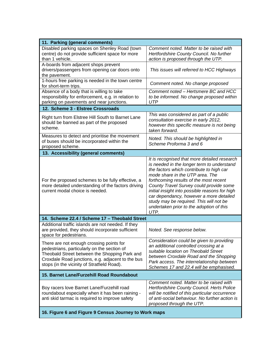| 11. Parking (general comments)                                                                                                                                                                                                               |                                                                                                                                                                                                                                                                                                                                                                                                                                                            |  |
|----------------------------------------------------------------------------------------------------------------------------------------------------------------------------------------------------------------------------------------------|------------------------------------------------------------------------------------------------------------------------------------------------------------------------------------------------------------------------------------------------------------------------------------------------------------------------------------------------------------------------------------------------------------------------------------------------------------|--|
| Disabled parking spaces on Shenley Road (town<br>centre) do not provide sufficient space for more<br>than 1 vehicle.                                                                                                                         | Comment noted. Matter to be raised with<br>Hertfordshire County Council. No further<br>action is proposed through the UTP.                                                                                                                                                                                                                                                                                                                                 |  |
| A-boards from adjacent shops prevent<br>drivers/passengers from opening car doors onto<br>the pavement.                                                                                                                                      | This issues will referred to HCC Highways                                                                                                                                                                                                                                                                                                                                                                                                                  |  |
| 1-hours free parking is needed in the town centre<br>for short-term trips.                                                                                                                                                                   | Comment noted. No change proposed                                                                                                                                                                                                                                                                                                                                                                                                                          |  |
| Absence of a body that is willing to take<br>responsibility for enforcement, e.g. in relation to<br>parking on pavements and near junctions.                                                                                                 | Comment noted - Hertsmere BC and HCC<br>to be informed. No change proposed within<br><b>UTP</b>                                                                                                                                                                                                                                                                                                                                                            |  |
| 12. Scheme 3 - Elstree Crossroads                                                                                                                                                                                                            |                                                                                                                                                                                                                                                                                                                                                                                                                                                            |  |
| Right turn from Elstree Hill South to Barnet Lane<br>should be banned as part of the proposed<br>scheme.                                                                                                                                     | This was considered as part of a public<br>consultation exercise in early 2012,<br>however this specific measure is not being<br>taken forward.                                                                                                                                                                                                                                                                                                            |  |
| Measures to detect and prioritise the movement<br>of buses should be incorporated within the<br>proposed scheme.                                                                                                                             | Noted. This should be highlighted in<br>Scheme Proforma 3 and 6                                                                                                                                                                                                                                                                                                                                                                                            |  |
| 13. Accessibility (general comments)                                                                                                                                                                                                         |                                                                                                                                                                                                                                                                                                                                                                                                                                                            |  |
| For the proposed schemes to be fully effective, a<br>more detailed understanding of the factors driving<br>current modal choice is needed.                                                                                                   | It is recognised that more detailed research<br>is needed in the longer term to understand<br>the factors which contribute to high car<br>mode share in the UTP area. The<br>forthcoming results of the most recent<br>County Travel Survey could provide some<br>initial insight into possible reasons for high<br>car dependancy, however a more detailed<br>study may be required. This will not be<br>undertaken prior to the adoption of this<br>UTP. |  |
| 14. Scheme 22.4 / Scheme 17 - Theobald Street                                                                                                                                                                                                |                                                                                                                                                                                                                                                                                                                                                                                                                                                            |  |
| Additional traffic islands are not needed. If they<br>are provided, they should incorporate sufficient<br>space for pedestrians.                                                                                                             | Noted. See response below.                                                                                                                                                                                                                                                                                                                                                                                                                                 |  |
| There are not enough crossing points for<br>pedestrians, particularly on the section of<br>Theobald Street between the Shopping Park and<br>Croxdale Road junctions, e.g. adjacent to the bus<br>stops (in the vicinity of Stratfield Road). | Consideration could be given to providing<br>an additional controlled crossing at a<br>suitable location on Theobald Street<br>between Croxdale Road and the Shopping<br>Park access. The interrelationship between<br>Schemes 17 and 22.4 will be emphasised.                                                                                                                                                                                             |  |
| 15. Barnet Lane/Furzehill Road Roundabout                                                                                                                                                                                                    |                                                                                                                                                                                                                                                                                                                                                                                                                                                            |  |
| Boy racers love Barnet Lane/Furzehill road<br>roundabout especially when it has been raining -<br>anti skid tarmac is required to improve safety                                                                                             | Comment noted. Matter to be raised with<br>Hertfordshire County Council. Herts Police<br>will be notified of this particular occurrence<br>of anti-social behaviour. No further action is<br>proposed through the UTP.                                                                                                                                                                                                                                     |  |
| 16. Figure 6 and Figure 9 Census Journey to Work maps                                                                                                                                                                                        |                                                                                                                                                                                                                                                                                                                                                                                                                                                            |  |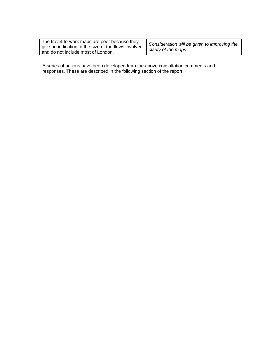| The travel-to-work maps are poor because they                                                           | $\mathcal{C}$ |
|---------------------------------------------------------------------------------------------------------|---------------|
| give no indication of the size of the flows involved, $\Big  \begin{array}{c} 0 \\ c \end{array} \Big $ |               |
| and do not include most of London.                                                                      |               |

*Consideration will be given to improving the clarity of the maps* 

A series of actions have been developed from the above consultation comments and responses. These are described in the following section of the report.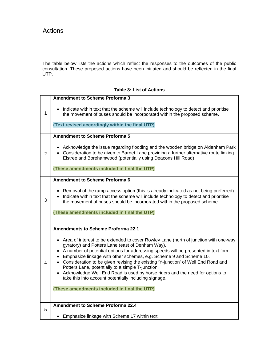The table below lists the actions which reflect the responses to the outcomes of the public consultation. These proposed actions have been initiated and should be reflected in the final UTP.

## **Table 3: List of Actions**

|                | <b>Amendment to Scheme Proforma 3</b>                                                                                                                                                                                                                                                                                                                                                                                                                                                                                                                                                                                  |
|----------------|------------------------------------------------------------------------------------------------------------------------------------------------------------------------------------------------------------------------------------------------------------------------------------------------------------------------------------------------------------------------------------------------------------------------------------------------------------------------------------------------------------------------------------------------------------------------------------------------------------------------|
| 1              | Indicate within text that the scheme will include technology to detect and prioritise<br>the movement of buses should be incorporated within the proposed scheme.                                                                                                                                                                                                                                                                                                                                                                                                                                                      |
|                | (Text revised accordingly within the final UTP)                                                                                                                                                                                                                                                                                                                                                                                                                                                                                                                                                                        |
|                | <b>Amendment to Scheme Proforma 5</b>                                                                                                                                                                                                                                                                                                                                                                                                                                                                                                                                                                                  |
| $\overline{2}$ | Acknowledge the issue regarding flooding and the wooden bridge on Aldenham Park<br>• Consideration to be given to Barnet Lane providing a further alternative route linking<br>Elstree and Borehamwood (potentially using Deacons Hill Road)                                                                                                                                                                                                                                                                                                                                                                           |
|                | (These amendments included in final the UTP)                                                                                                                                                                                                                                                                                                                                                                                                                                                                                                                                                                           |
|                | Amendment to Scheme Proforma 6                                                                                                                                                                                                                                                                                                                                                                                                                                                                                                                                                                                         |
| 3              | Removal of the ramp access option (this is already indicated as not being preferred)<br>Indicate within text that the scheme will include technology to detect and prioritise<br>the movement of buses should be incorporated within the proposed scheme.                                                                                                                                                                                                                                                                                                                                                              |
|                | (These amendments included in final the UTP)                                                                                                                                                                                                                                                                                                                                                                                                                                                                                                                                                                           |
|                |                                                                                                                                                                                                                                                                                                                                                                                                                                                                                                                                                                                                                        |
|                | <b>Amendments to Scheme Proforma 22.1</b>                                                                                                                                                                                                                                                                                                                                                                                                                                                                                                                                                                              |
| 4              | • Area of interest to be extended to cover Rowley Lane (north of junction with one-way<br>gyratory) and Potters Lane (east of Denham Way).<br>A number of potential options for addressing speeds will be presented in text form<br>$\bullet$<br>Emphasize linkage with other schemes, e.g. Scheme 9 and Scheme 10.<br>• Consideration to be given revising the existing 'Y-junction' of Well End Road and<br>Potters Lane, potentially to a simple T-junction.<br>Acknowledge Well End Road is used by horse riders and the need for options to<br>$\bullet$<br>take this into account potentially including signage. |
|                | (These amendments included in final the UTP)                                                                                                                                                                                                                                                                                                                                                                                                                                                                                                                                                                           |
|                |                                                                                                                                                                                                                                                                                                                                                                                                                                                                                                                                                                                                                        |
| 5              | <b>Amendment to Scheme Proforma 22.4</b>                                                                                                                                                                                                                                                                                                                                                                                                                                                                                                                                                                               |
|                | Emphasize linkage with Scheme 17 within text.                                                                                                                                                                                                                                                                                                                                                                                                                                                                                                                                                                          |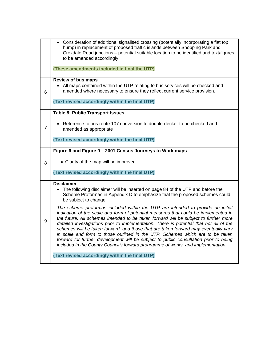|                | • Consideration of additional signalised crossing (potentially incorporating a flat top<br>hump) in replacement of proposed traffic islands between Shopping Park and<br>Croxdale Road junctions - potential suitable location to be identified and text/figures<br>to be amended accordingly.<br>(These amendments included in final the UTP)                                                                                                                                                                                                                                                                                                                                                                 |
|----------------|----------------------------------------------------------------------------------------------------------------------------------------------------------------------------------------------------------------------------------------------------------------------------------------------------------------------------------------------------------------------------------------------------------------------------------------------------------------------------------------------------------------------------------------------------------------------------------------------------------------------------------------------------------------------------------------------------------------|
|                |                                                                                                                                                                                                                                                                                                                                                                                                                                                                                                                                                                                                                                                                                                                |
| 6              | <b>Review of bus maps</b><br>• All maps contained within the UTP relating to bus services will be checked and<br>amended where necessary to ensure they reflect current service provision.                                                                                                                                                                                                                                                                                                                                                                                                                                                                                                                     |
|                | (Text revised accordingly within the final UTP)                                                                                                                                                                                                                                                                                                                                                                                                                                                                                                                                                                                                                                                                |
|                | <b>Table 8: Public Transport Issues</b>                                                                                                                                                                                                                                                                                                                                                                                                                                                                                                                                                                                                                                                                        |
| $\overline{7}$ | Reference to bus route 107 conversion to double-decker to be checked and<br>amended as appropriate                                                                                                                                                                                                                                                                                                                                                                                                                                                                                                                                                                                                             |
|                | (Text revised accordingly within the final UTP)                                                                                                                                                                                                                                                                                                                                                                                                                                                                                                                                                                                                                                                                |
|                | Figure 6 and Figure 9 - 2001 Census Journeys to Work maps                                                                                                                                                                                                                                                                                                                                                                                                                                                                                                                                                                                                                                                      |
| 8              | • Clarity of the map will be improved.                                                                                                                                                                                                                                                                                                                                                                                                                                                                                                                                                                                                                                                                         |
|                | (Text revised accordingly within the final UTP)                                                                                                                                                                                                                                                                                                                                                                                                                                                                                                                                                                                                                                                                |
|                | <b>Disclaimer</b><br>The following disclaimer will be inserted on page 84 of the UTP and before the<br>Scheme Proformas in Appendix D to emphasize that the proposed schemes could<br>be subject to change:                                                                                                                                                                                                                                                                                                                                                                                                                                                                                                    |
| 9              | The scheme proformas included within the UTP are intended to provide an initial<br>indication of the scale and form of potential measures that could be implemented in<br>the future. All schemes intended to be taken forward will be subject to further more<br>detailed investigations prior to implementation. There is potential that not all of the<br>schemes will be taken forward, and those that are taken forward may eventually vary<br>in scale and form to those outlined in the UTP. Schemes which are to be taken<br>forward for further development will be subject to public consultation prior to being<br>included in the County Council's forward programme of works, and implementation. |
|                | (Text revised accordingly within the final UTP)                                                                                                                                                                                                                                                                                                                                                                                                                                                                                                                                                                                                                                                                |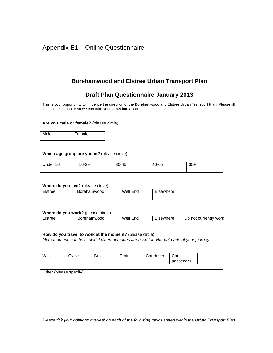## Appendix E1 – Online Questionnaire

## **Borehamwood and Elstree Urban Transport Plan**

## **Draft Plan Questionnaire January 2013**

This is your opportunity to influence the direction of the Borehamwood and Elstree Urban Transport Plan. Please fill in this questionnaire so we can take your views into account

#### **Are you male or female?** (please circle)

| Male | Female |
|------|--------|
|      |        |

#### **Which age group are you in?** (please circle)

| Under 16 | 16-29 | 30-45 | 46-65 | $65+$ |
|----------|-------|-------|-------|-------|
|          |       |       |       |       |

#### **Where do you live?** (please circle)

| Elstree | Borehamwood | Well End | Elsewhere |
|---------|-------------|----------|-----------|
|         |             |          |           |

#### **Where do you work?** (please circle)

|                                                       | . .                             |                  |                                        |                                    |
|-------------------------------------------------------|---------------------------------|------------------|----------------------------------------|------------------------------------|
| $\overline{\phantom{a}}$<br>™r∩r<br>- 10<br>--<br>ᆸᄓᄔ | amwood<br>- - - -<br>ונור<br>на | Weli<br>:nc<br>ы | --<br>.<br>-<br>ו/יי<br>11 U U<br>- '' | ∕ work<br>currently<br>nn<br>' الہ |
|                                                       |                                 |                  |                                        |                                    |

#### **How do you travel to work at the moment?** (please circle)

*More than one can be circled if different modes are used for different parts of your journey.* 

| Walk                   | Cycle | <b>Bus</b> | Train | Car driver | Car       |  |
|------------------------|-------|------------|-------|------------|-----------|--|
|                        |       |            |       |            | passenger |  |
|                        |       |            |       |            |           |  |
| Other (please specify) |       |            |       |            |           |  |
|                        |       |            |       |            |           |  |
|                        |       |            |       |            |           |  |
|                        |       |            |       |            |           |  |

*Please tick your opinions overleaf on each of the following topics stated within the Urban Transport Plan.*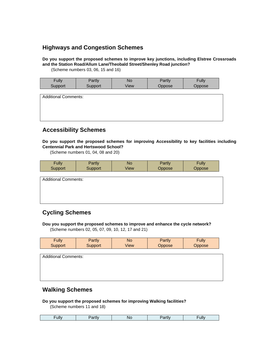## **Highways and Congestion Schemes**

**Do you support the proposed schemes to improve key junctions, including Elstree Crossroads and the Station Road/Allum Lane/Theobald Street/Shenley Road junction?** 

(Scheme numbers 03, 06, 15 and 16)

| Fully   | Partly  | No   | Partly         | Fully  |
|---------|---------|------|----------------|--------|
|         |         |      |                |        |
| Support | Support | View | <i>D</i> ppose | )ppose |
|         |         |      |                |        |
|         |         |      |                |        |

Additional Comments:

**Accessibility Schemes** 

**Do you support the proposed schemes for improving Accessibility to key facilities including Centennial Park and Hertswood School?** 

(Scheme numbers 01, 04, 08 and 20)

| Fully   | Partly  | No   | Partlv        | Fully         |
|---------|---------|------|---------------|---------------|
| Support | Support | √iew | <b>Oppose</b> | <b>Oppose</b> |

| Additional Comments: |  |  |  |
|----------------------|--|--|--|
|                      |  |  |  |
|                      |  |  |  |
|                      |  |  |  |

## **Cycling Schemes**

**Dou you support the proposed schemes to improve and enhance the cycle network?**  (Scheme numbers 02, 05, 07, 09, 10, 12, 17 and 21)

| Fully   | Partly  | No   | Partly        | Fully  |
|---------|---------|------|---------------|--------|
| Support | Support | View | <b>Oppose</b> | Oppose |
|         |         |      |               |        |

| Additional Comments: |  |  |
|----------------------|--|--|
|                      |  |  |
|                      |  |  |
|                      |  |  |
|                      |  |  |

## **Walking Schemes**

#### **Do you support the proposed schemes for improving Walking facilities?**

(Scheme numbers 11 and 18)

|  | ⊶ | --- | __ | <b>ALLIV</b> | л. |
|--|---|-----|----|--------------|----|
|--|---|-----|----|--------------|----|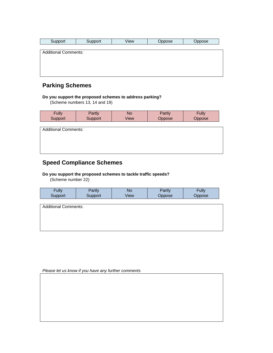| Support                     | Support | View | Oppose | Oppose |
|-----------------------------|---------|------|--------|--------|
|                             |         |      |        |        |
| <b>Additional Comments:</b> |         |      |        |        |
|                             |         |      |        |        |
|                             |         |      |        |        |
|                             |         |      |        |        |
|                             |         |      |        |        |

## **Parking Schemes**

#### **Do you support the proposed schemes to address parking?**

(Scheme numbers 13, 14 and 19)

| <b>Fully</b>                | Partly  | <b>No</b> | Partly | <b>Fully</b> |
|-----------------------------|---------|-----------|--------|--------------|
| Support                     | Support | View      | Oppose | Oppose       |
| <b>Additional Comments:</b> |         |           |        |              |

## **Speed Compliance Schemes**

#### **Do you support the proposed schemes to tackle traffic speeds?**

(Scheme number 22)

| <b>Fully</b>                | Partly  | <b>No</b> | Partly | Fully  |
|-----------------------------|---------|-----------|--------|--------|
| Support                     | Support | View      | Oppose | Oppose |
| <b>Additional Comments:</b> |         |           |        |        |

*Please let us know if you have any further comments*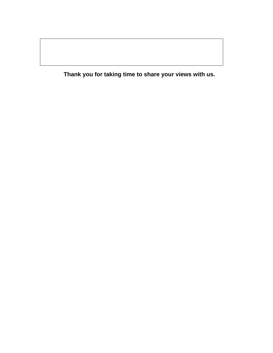**Thank you for taking time to share your views with us.**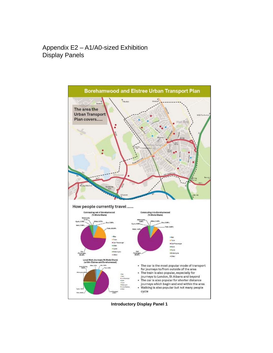## Appendix E2 – A1/A0-sized Exhibition Display Panels



**Introductory Display Panel 1**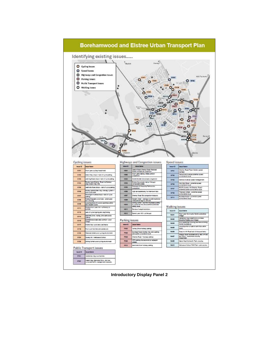

**Introductory Display Panel 2**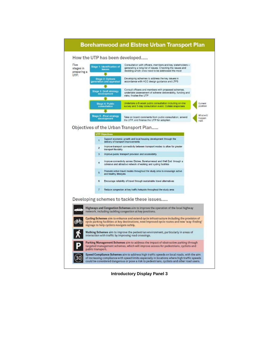

**Introductory Display Panel 3**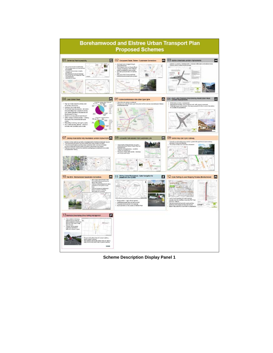

**Scheme Description Display Panel 1**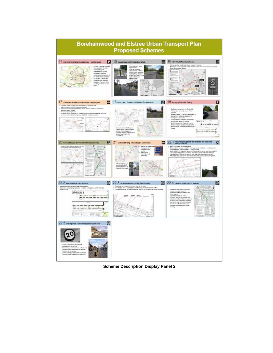

**Scheme Description Display Panel 2**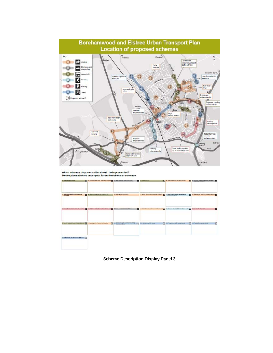

**Scheme Description Display Panel 3**